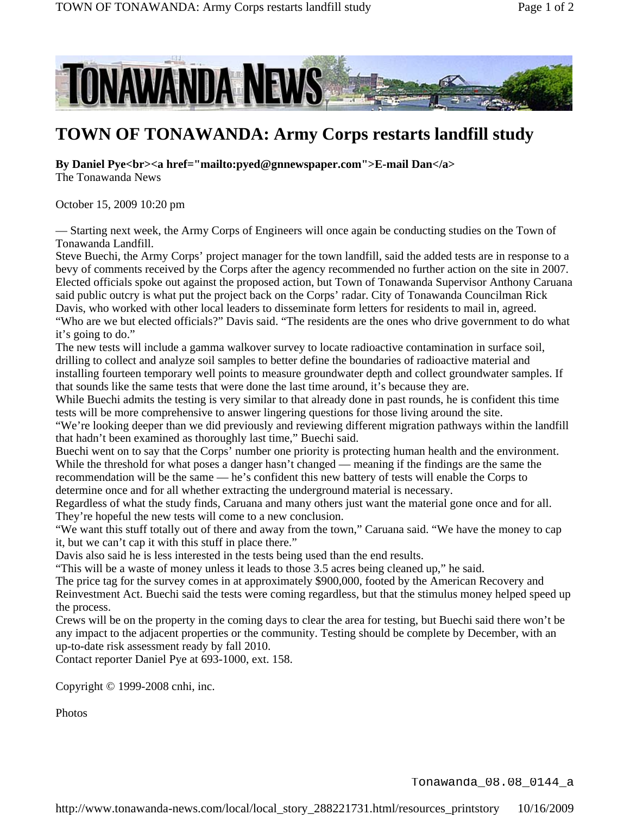

## **TOWN OF TONAWANDA: Army Corps restarts landfill study**

**By Daniel Pye<br><a href="mailto:pyed@gnnewspaper.com">E-mail Dan</a>** The Tonawanda News

October 15, 2009 10:20 pm

— Starting next week, the Army Corps of Engineers will once again be conducting studies on the Town of Tonawanda Landfill.

Steve Buechi, the Army Corps' project manager for the town landfill, said the added tests are in response to a bevy of comments received by the Corps after the agency recommended no further action on the site in 2007. Elected officials spoke out against the proposed action, but Town of Tonawanda Supervisor Anthony Caruana said public outcry is what put the project back on the Corps' radar. City of Tonawanda Councilman Rick Davis, who worked with other local leaders to disseminate form letters for residents to mail in, agreed. "Who are we but elected officials?" Davis said. "The residents are the ones who drive government to do what it's going to do."

The new tests will include a gamma walkover survey to locate radioactive contamination in surface soil, drilling to collect and analyze soil samples to better define the boundaries of radioactive material and installing fourteen temporary well points to measure groundwater depth and collect groundwater samples. If that sounds like the same tests that were done the last time around, it's because they are.

While Buechi admits the testing is very similar to that already done in past rounds, he is confident this time tests will be more comprehensive to answer lingering questions for those living around the site.

"We're looking deeper than we did previously and reviewing different migration pathways within the landfill that hadn't been examined as thoroughly last time," Buechi said.

Buechi went on to say that the Corps' number one priority is protecting human health and the environment. While the threshold for what poses a danger hasn't changed — meaning if the findings are the same the recommendation will be the same — he's confident this new battery of tests will enable the Corps to determine once and for all whether extracting the underground material is necessary.

Regardless of what the study finds, Caruana and many others just want the material gone once and for all. They're hopeful the new tests will come to a new conclusion.

"We want this stuff totally out of there and away from the town," Caruana said. "We have the money to cap it, but we can't cap it with this stuff in place there."

Davis also said he is less interested in the tests being used than the end results.

"This will be a waste of money unless it leads to those 3.5 acres being cleaned up," he said.

The price tag for the survey comes in at approximately \$900,000, footed by the American Recovery and Reinvestment Act. Buechi said the tests were coming regardless, but that the stimulus money helped speed up the process.

Crews will be on the property in the coming days to clear the area for testing, but Buechi said there won't be any impact to the adjacent properties or the community. Testing should be complete by December, with an up-to-date risk assessment ready by fall 2010.

Contact reporter Daniel Pye at 693-1000, ext. 158.

Copyright © 1999-2008 cnhi, inc.

Photos